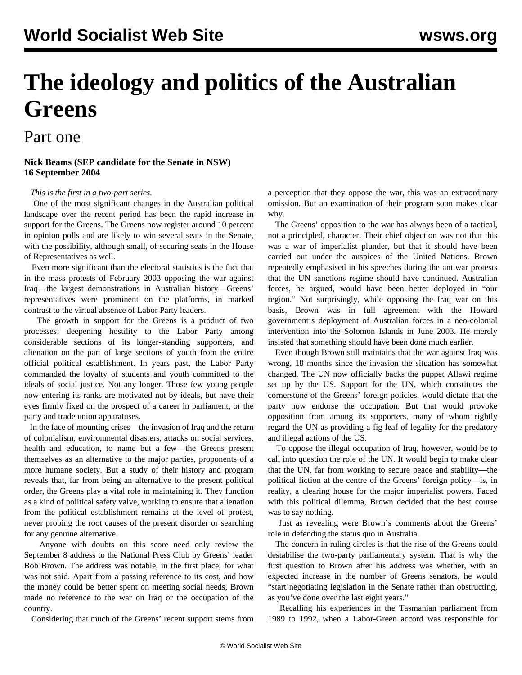# **The ideology and politics of the Australian Greens**

## Part one

#### **Nick Beams (SEP candidate for the Senate in NSW) 16 September 2004**

#### *This is the first in a two-part series.*

 One of the most significant changes in the Australian political landscape over the recent period has been the rapid increase in support for the Greens. The Greens now register around 10 percent in opinion polls and are likely to win several seats in the Senate, with the possibility, although small, of securing seats in the House of Representatives as well.

 Even more significant than the electoral statistics is the fact that in the mass protests of February 2003 opposing the war against Iraq—the largest demonstrations in Australian history—Greens' representatives were prominent on the platforms, in marked contrast to the virtual absence of Labor Party leaders.

 The growth in support for the Greens is a product of two processes: deepening hostility to the Labor Party among considerable sections of its longer-standing supporters, and alienation on the part of large sections of youth from the entire official political establishment. In years past, the Labor Party commanded the loyalty of students and youth committed to the ideals of social justice. Not any longer. Those few young people now entering its ranks are motivated not by ideals, but have their eyes firmly fixed on the prospect of a career in parliament, or the party and trade union apparatuses.

 In the face of mounting crises—the invasion of Iraq and the return of colonialism, environmental disasters, attacks on social services, health and education, to name but a few—the Greens present themselves as an alternative to the major parties, proponents of a more humane society. But a study of their history and program reveals that, far from being an alternative to the present political order, the Greens play a vital role in maintaining it. They function as a kind of political safety valve, working to ensure that alienation from the political establishment remains at the level of protest, never probing the root causes of the present disorder or searching for any genuine alternative.

 Anyone with doubts on this score need only review the September 8 address to the National Press Club by Greens' leader Bob Brown. The address was notable, in the first place, for what was not said. Apart from a passing reference to its cost, and how the money could be better spent on meeting social needs, Brown made no reference to the war on Iraq or the occupation of the country.

Considering that much of the Greens' recent support stems from

a perception that they oppose the war, this was an extraordinary omission. But an examination of their program soon makes clear why.

 The Greens' opposition to the war has always been of a tactical, not a principled, character. Their chief objection was not that this was a war of imperialist plunder, but that it should have been carried out under the auspices of the United Nations. Brown repeatedly emphasised in his speeches during the antiwar protests that the UN sanctions regime should have continued. Australian forces, he argued, would have been better deployed in "our region." Not surprisingly, while opposing the Iraq war on this basis, Brown was in full agreement with the Howard government's deployment of Australian forces in a neo-colonial intervention into the Solomon Islands in June 2003. He merely insisted that something should have been done much earlier.

 Even though Brown still maintains that the war against Iraq was wrong, 18 months since the invasion the situation has somewhat changed. The UN now officially backs the puppet Allawi regime set up by the US. Support for the UN, which constitutes the cornerstone of the Greens' foreign policies, would dictate that the party now endorse the occupation. But that would provoke opposition from among its supporters, many of whom rightly regard the UN as providing a fig leaf of legality for the predatory and illegal actions of the US.

 To oppose the illegal occupation of Iraq, however, would be to call into question the role of the UN. It would begin to make clear that the UN, far from working to secure peace and stability—the political fiction at the centre of the Greens' foreign policy—is, in reality, a clearing house for the major imperialist powers. Faced with this political dilemma, Brown decided that the best course was to say nothing.

 Just as revealing were Brown's comments about the Greens' role in defending the status quo in Australia.

 The concern in ruling circles is that the rise of the Greens could destabilise the two-party parliamentary system. That is why the first question to Brown after his address was whether, with an expected increase in the number of Greens senators, he would "start negotiating legislation in the Senate rather than obstructing, as you've done over the last eight years."

 Recalling his experiences in the Tasmanian parliament from 1989 to 1992, when a Labor-Green accord was responsible for